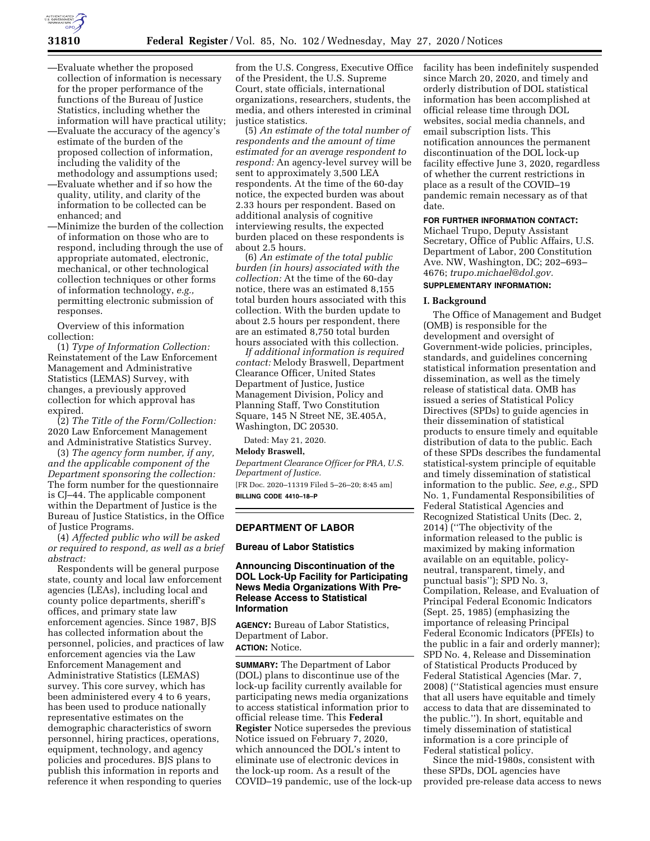

- —Evaluate whether the proposed collection of information is necessary for the proper performance of the functions of the Bureau of Justice Statistics, including whether the information will have practical utility;
- —Evaluate the accuracy of the agency's estimate of the burden of the proposed collection of information, including the validity of the methodology and assumptions used;
- —Evaluate whether and if so how the quality, utility, and clarity of the information to be collected can be enhanced; and
- —Minimize the burden of the collection of information on those who are to respond, including through the use of appropriate automated, electronic, mechanical, or other technological collection techniques or other forms of information technology, *e.g.,*  permitting electronic submission of responses.

Overview of this information collection:

(1) *Type of Information Collection:*  Reinstatement of the Law Enforcement Management and Administrative Statistics (LEMAS) Survey, with changes, a previously approved collection for which approval has expired.

(2) *The Title of the Form/Collection:*  2020 Law Enforcement Management and Administrative Statistics Survey.

(3) *The agency form number, if any, and the applicable component of the Department sponsoring the collection:*  The form number for the questionnaire is CJ–44. The applicable component within the Department of Justice is the Bureau of Justice Statistics, in the Office of Justice Programs.

(4) *Affected public who will be asked or required to respond, as well as a brief abstract:* 

Respondents will be general purpose state, county and local law enforcement agencies (LEAs), including local and county police departments, sheriff's offices, and primary state law enforcement agencies. Since 1987, BJS has collected information about the personnel, policies, and practices of law enforcement agencies via the Law Enforcement Management and Administrative Statistics (LEMAS) survey. This core survey, which has been administered every 4 to 6 years, has been used to produce nationally representative estimates on the demographic characteristics of sworn personnel, hiring practices, operations, equipment, technology, and agency policies and procedures. BJS plans to publish this information in reports and reference it when responding to queries

from the U.S. Congress, Executive Office of the President, the U.S. Supreme Court, state officials, international organizations, researchers, students, the media, and others interested in criminal justice statistics.

(5) *An estimate of the total number of respondents and the amount of time estimated for an average respondent to respond:* An agency-level survey will be sent to approximately 3,500 LEA respondents. At the time of the 60-day notice, the expected burden was about 2.33 hours per respondent. Based on additional analysis of cognitive interviewing results, the expected burden placed on these respondents is about 2.5 hours.

(6) *An estimate of the total public burden (in hours) associated with the collection:* At the time of the 60-day notice, there was an estimated 8,155 total burden hours associated with this collection. With the burden update to about 2.5 hours per respondent, there are an estimated 8,750 total burden hours associated with this collection.

*If additional information is required contact:* Melody Braswell, Department Clearance Officer, United States Department of Justice, Justice Management Division, Policy and Planning Staff, Two Constitution Square, 145 N Street NE, 3E.405A, Washington, DC 20530.

Dated: May 21, 2020.

**Melody Braswell,** 

*Department Clearance Officer for PRA, U.S. Department of Justice.* 

[FR Doc. 2020–11319 Filed 5–26–20; 8:45 am] **BILLING CODE 4410–18–P** 

## **DEPARTMENT OF LABOR**

## **Bureau of Labor Statistics**

# **Announcing Discontinuation of the DOL Lock-Up Facility for Participating News Media Organizations With Pre-Release Access to Statistical Information**

**AGENCY:** Bureau of Labor Statistics, Department of Labor. **ACTION:** Notice.

**SUMMARY:** The Department of Labor (DOL) plans to discontinue use of the lock-up facility currently available for participating news media organizations to access statistical information prior to official release time. This **Federal Register** Notice supersedes the previous Notice issued on February 7, 2020, which announced the DOL's intent to eliminate use of electronic devices in the lock-up room. As a result of the COVID–19 pandemic, use of the lock-up facility has been indefinitely suspended since March 20, 2020, and timely and orderly distribution of DOL statistical information has been accomplished at official release time through DOL websites, social media channels, and email subscription lists. This notification announces the permanent discontinuation of the DOL lock-up facility effective June 3, 2020, regardless of whether the current restrictions in place as a result of the COVID–19 pandemic remain necessary as of that date.

# **FOR FURTHER INFORMATION CONTACT:**

Michael Trupo, Deputy Assistant Secretary, Office of Public Affairs, U.S. Department of Labor, 200 Constitution Ave. NW, Washington, DC; 202–693– 4676; *[trupo.michael@dol.gov.](mailto:trupo.michael@dol.gov)*  **SUPPLEMENTARY INFORMATION:** 

#### **I. Background**

The Office of Management and Budget (OMB) is responsible for the development and oversight of Government-wide policies, principles, standards, and guidelines concerning statistical information presentation and dissemination, as well as the timely release of statistical data. OMB has issued a series of Statistical Policy Directives (SPDs) to guide agencies in their dissemination of statistical products to ensure timely and equitable distribution of data to the public. Each of these SPDs describes the fundamental statistical-system principle of equitable and timely dissemination of statistical information to the public. *See, e.g.,* SPD No. 1, Fundamental Responsibilities of Federal Statistical Agencies and Recognized Statistical Units (Dec. 2, 2014) (''The objectivity of the information released to the public is maximized by making information available on an equitable, policyneutral, transparent, timely, and punctual basis''); SPD No. 3, Compilation, Release, and Evaluation of Principal Federal Economic Indicators (Sept. 25, 1985) (emphasizing the importance of releasing Principal Federal Economic Indicators (PFEIs) to the public in a fair and orderly manner); SPD No. 4, Release and Dissemination of Statistical Products Produced by Federal Statistical Agencies (Mar. 7, 2008) (''Statistical agencies must ensure that all users have equitable and timely access to data that are disseminated to the public.''). In short, equitable and timely dissemination of statistical information is a core principle of Federal statistical policy.

Since the mid-1980s, consistent with these SPDs, DOL agencies have provided pre-release data access to news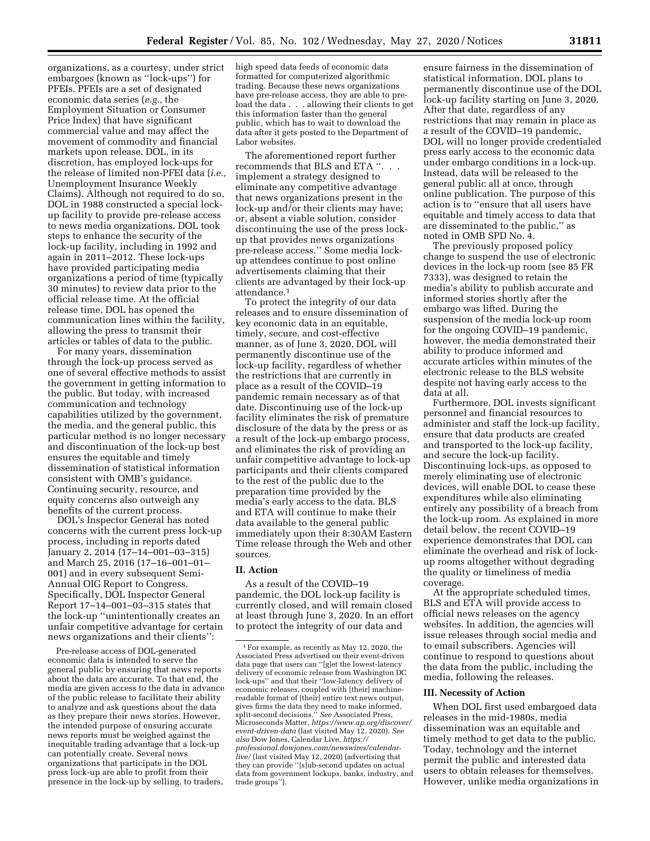organizations, as a courtesy, under strict embargoes (known as ''lock-ups'') for PFEIs. PFEIs are a set of designated economic data series (*e.g.,* the Employment Situation or Consumer Price Index) that have significant commercial value and may affect the movement of commodity and financial markets upon release. DOL, in its discretion, has employed lock-ups for the release of limited non-PFEI data (*i.e.,*  Unemployment Insurance Weekly Claims). Although not required to do so, DOL in 1988 constructed a special lockup facility to provide pre-release access to news media organizations. DOL took steps to enhance the security of the lock-up facility, including in 1992 and again in 2011–2012. These lock-ups have provided participating media organizations a period of time (typically 30 minutes) to review data prior to the official release time. At the official release time, DOL has opened the communication lines within the facility, allowing the press to transmit their articles or tables of data to the public.

For many years, dissemination through the lock-up process served as one of several effective methods to assist the government in getting information to the public. But today, with increased communication and technology capabilities utilized by the government, the media, and the general public, this particular method is no longer necessary and discontinuation of the lock-up best ensures the equitable and timely dissemination of statistical information consistent with OMB's guidance. Continuing security, resource, and equity concerns also outweigh any benefits of the current process.

DOL's Inspector General has noted concerns with the current press lock-up process, including in reports dated January 2, 2014 (17–14–001–03–315) and March 25, 2016 (17–16–001–01– 001) and in every subsequent Semi-Annual OIG Report to Congress. Specifically, DOL Inspector General Report 17–14–001–03–315 states that the lock-up ''unintentionally creates an unfair competitive advantage for certain news organizations and their clients'':

Pre-release access of DOL-generated economic data is intended to serve the general public by ensuring that news reports about the data are accurate. To that end, the media are given access to the data in advance of the public release to facilitate their ability to analyze and ask questions about the data as they prepare their news stories. However, the intended purpose of ensuring accurate news reports must be weighed against the inequitable trading advantage that a lock-up can potentially create. Several news organizations that participate in the DOL press lock-up are able to profit from their presence in the lock-up by selling, to traders,

high speed data feeds of economic data formatted for computerized algorithmic trading. Because these news organizations have pre-release access, they are able to preload the data . . . allowing their clients to get this information faster than the general public, which has to wait to download the data after it gets posted to the Department of Labor websites.

The aforementioned report further recommends that BLS and ETA ". implement a strategy designed to eliminate any competitive advantage that news organizations present in the lock-up and/or their clients may have; or, absent a viable solution, consider discontinuing the use of the press lockup that provides news organizations pre-release access.'' Some media lockup attendees continue to post online advertisements claiming that their clients are advantaged by their lock-up attendance.1

To protect the integrity of our data releases and to ensure dissemination of key economic data in an equitable, timely, secure, and cost-effective manner, as of June 3, 2020, DOL will permanently discontinue use of the lock-up facility, regardless of whether the restrictions that are currently in place as a result of the COVID–19 pandemic remain necessary as of that date. Discontinuing use of the lock-up facility eliminates the risk of premature disclosure of the data by the press or as a result of the lock-up embargo process, and eliminates the risk of providing an unfair competitive advantage to lock-up participants and their clients compared to the rest of the public due to the preparation time provided by the media's early access to the data. BLS and ETA will continue to make their data available to the general public immediately upon their 8:30AM Eastern Time release through the Web and other sources.

# **II. Action**

As a result of the COVID–19 pandemic, the DOL lock-up facility is currently closed, and will remain closed at least through June 3, 2020. In an effort to protect the integrity of our data and

ensure fairness in the dissemination of statistical information, DOL plans to permanently discontinue use of the DOL lock-up facility starting on June 3, 2020. After that date, regardless of any restrictions that may remain in place as a result of the COVID–19 pandemic, DOL will no longer provide credentialed press early access to the economic data under embargo conditions in a lock-up. Instead, data will be released to the general public all at once, through online publication. The purpose of this action is to ''ensure that all users have equitable and timely access to data that are disseminated to the public,'' as noted in OMB SPD No. 4.

The previously proposed policy change to suspend the use of electronic devices in the lock-up room (see 85 FR 7333), was designed to retain the media's ability to publish accurate and informed stories shortly after the embargo was lifted. During the suspension of the media lock-up room for the ongoing COVID–19 pandemic, however, the media demonstrated their ability to produce informed and accurate articles within minutes of the electronic release to the BLS website despite not having early access to the data at all.

Furthermore, DOL invests significant personnel and financial resources to administer and staff the lock-up facility, ensure that data products are created and transported to the lock-up facility, and secure the lock-up facility. Discontinuing lock-ups, as opposed to merely eliminating use of electronic devices, will enable DOL to cease these expenditures while also eliminating entirely any possibility of a breach from the lock-up room. As explained in more detail below, the recent COVID–19 experience demonstrates that DOL can eliminate the overhead and risk of lockup rooms altogether without degrading the quality or timeliness of media coverage.

At the appropriate scheduled times, BLS and ETA will provide access to official news releases on the agency websites. In addition, the agencies will issue releases through social media and to email subscribers. Agencies will continue to respond to questions about the data from the public, including the media, following the releases.

### **III. Necessity of Action**

When DOL first used embargoed data releases in the mid-1980s, media dissemination was an equitable and timely method to get data to the public. Today, technology and the internet permit the public and interested data users to obtain releases for themselves. However, unlike media organizations in

<sup>1</sup>For example, as recently as May 12, 2020, the Associated Press advertised on their event-driven data page that users can ''[g]et the lowest-latency delivery of economic release from Washington DC lock-ups'' and that their ''low-latency delivery of economic releases, coupled with [their] machinereadable format of [their] entire text news output, gives firms the data they need to make informed, split-second decisions.'' *See* Associated Press, Microseconds Matter, *[https://www.ap.org/discover/](https://www.ap.org/discover/event-driven-data)  [event-driven-data](https://www.ap.org/discover/event-driven-data)* (last visited May 12, 2020). *See also* Dow Jones, Calendar Live, *[https://](https://professional.dowjones.com/newswires/calendar-live/) [professional.dowjones.com/newswires/calendar](https://professional.dowjones.com/newswires/calendar-live/)[live/](https://professional.dowjones.com/newswires/calendar-live/)* (last visited May 12, 2020) (advertising that they can provide ''[s]ub-second updates on actual data from government lockups, banks, industry, and trade groups'').